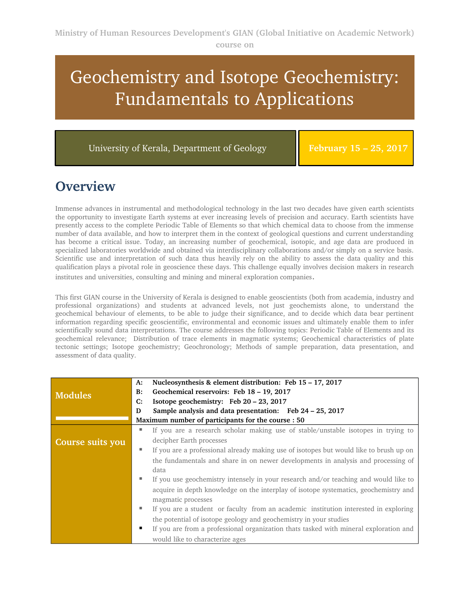# Geochemistry and Isotope Geochemistry: Fundamentals to Applications

University of Kerala, Department of Geology

**February 15 – 25, 2017**

#### **Overview**

Immense advances in instrumental and methodological technology in the last two decades have given earth scientists the opportunity to investigate Earth systems at ever increasing levels of precision and accuracy. Earth scientists have presently access to the complete Periodic Table of Elements so that which chemical data to choose from the immense number of data available, and how to interpret them in the context of geological questions and current understanding has become a critical issue. Today, an increasing number of geochemical, isotopic, and age data are produced in specialized laboratories worldwide and obtained via interdisciplinary collaborations and/or simply on a service basis. Scientific use and interpretation of such data thus heavily rely on the ability to assess the data quality and this qualification plays a pivotal role in geoscience these days. This challenge equally involves decision makers in research

institutes and universities, consulting and mining and mineral exploration companies.

This first GIAN course in the University of Kerala is designed to enable geoscientists (both from academia, industry and professional organizations) and students at advanced levels, not just geochemists alone, to understand the geochemical behaviour of elements, to be able to judge their significance, and to decide which data bear pertinent information regarding specific geoscientific, environmental and economic issues and ultimately enable them to infer scientifically sound data interpretations. The course addresses the following topics: Periodic Table of Elements and its geochemical relevance; Distribution of trace elements in magmatic systems; Geochemical characteristics of plate tectonic settings; Isotope geochemistry; Geochronology; Methods of sample preparation, data presentation, and assessment of data quality.

|                  | A:                                                 | Nucleosynthesis & element distribution: Feb 15 - 17, 2017                                                  |
|------------------|----------------------------------------------------|------------------------------------------------------------------------------------------------------------|
| <b>Modules</b>   | B:                                                 | Geochemical reservoirs: Feb 18 - 19, 2017                                                                  |
|                  | C:                                                 | Isotope geochemistry: Feb 20 - 23, 2017                                                                    |
|                  | D                                                  | Sample analysis and data presentation: Feb 24 – 25, 2017                                                   |
|                  | Maximum number of participants for the course : 50 |                                                                                                            |
|                  | ш                                                  | If you are a research scholar making use of stable/unstable isotopes in trying to                          |
| Course suits you |                                                    | decipher Earth processes                                                                                   |
|                  | ٠                                                  | If you are a professional already making use of isotopes but would like to brush up on                     |
|                  |                                                    | the fundamentals and share in on newer developments in analysis and processing of<br>data                  |
|                  | ш                                                  | If you use geochemistry intensely in your research and/or teaching and would like to                       |
|                  |                                                    | acquire in depth knowledge on the interplay of isotope systematics, geochemistry and<br>magmatic processes |
|                  | ٠                                                  | If you are a student or faculty from an academic institution interested in exploring                       |
|                  |                                                    | the potential of isotope geology and geochemistry in your studies                                          |
|                  |                                                    | If you are from a professional organization thats tasked with mineral exploration and                      |
|                  |                                                    | would like to characterize ages                                                                            |